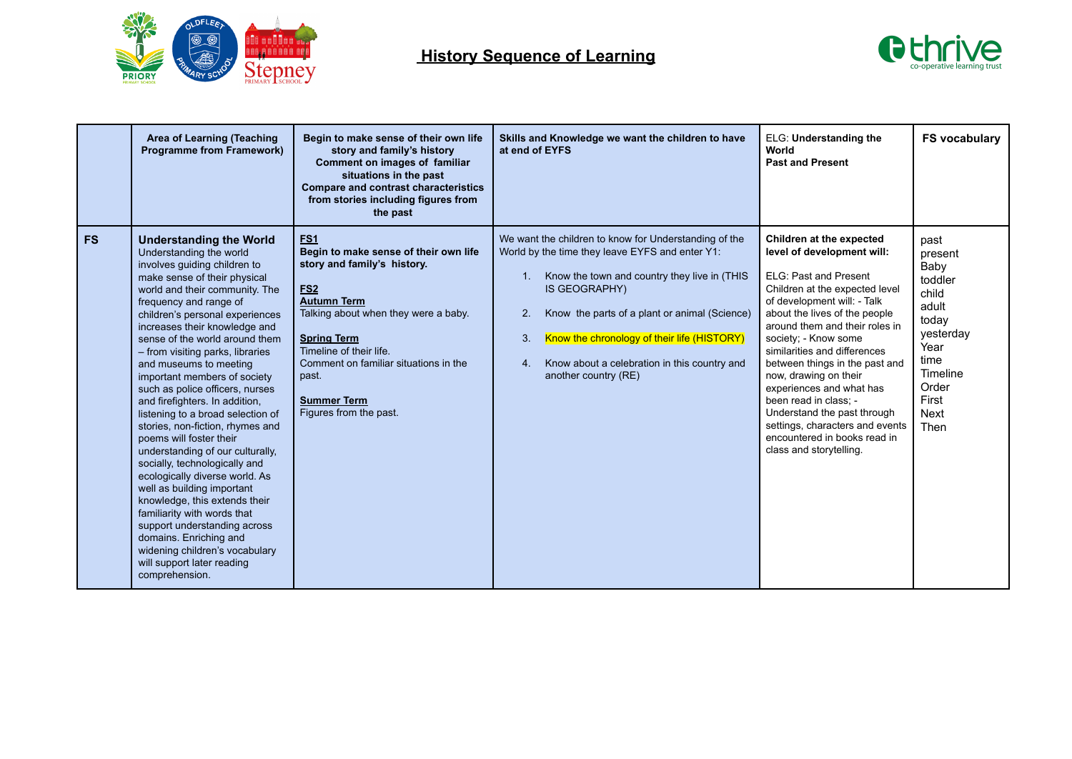



|           | <b>Area of Learning (Teaching</b><br><b>Programme from Framework)</b>                                                                                                                                                                                                                                                                                                                                                                                                                                                                                                                                                                                                                                                                                                                                                                                                                                               | Begin to make sense of their own life<br>story and family's history<br>Comment on images of familiar<br>situations in the past<br><b>Compare and contrast characteristics</b><br>from stories including figures from<br>the past                                                                                       | Skills and Knowledge we want the children to have<br>at end of EYFS                                                                                                                                                                                                                                                                                                               | ELG: Understanding the<br>World<br><b>Past and Present</b>                                                                                                                                                                                                                                                                                                                                                                                                                                                               | <b>FS vocabulary</b>                                                                                                                            |
|-----------|---------------------------------------------------------------------------------------------------------------------------------------------------------------------------------------------------------------------------------------------------------------------------------------------------------------------------------------------------------------------------------------------------------------------------------------------------------------------------------------------------------------------------------------------------------------------------------------------------------------------------------------------------------------------------------------------------------------------------------------------------------------------------------------------------------------------------------------------------------------------------------------------------------------------|------------------------------------------------------------------------------------------------------------------------------------------------------------------------------------------------------------------------------------------------------------------------------------------------------------------------|-----------------------------------------------------------------------------------------------------------------------------------------------------------------------------------------------------------------------------------------------------------------------------------------------------------------------------------------------------------------------------------|--------------------------------------------------------------------------------------------------------------------------------------------------------------------------------------------------------------------------------------------------------------------------------------------------------------------------------------------------------------------------------------------------------------------------------------------------------------------------------------------------------------------------|-------------------------------------------------------------------------------------------------------------------------------------------------|
| <b>FS</b> | <b>Understanding the World</b><br>Understanding the world<br>involves guiding children to<br>make sense of their physical<br>world and their community. The<br>frequency and range of<br>children's personal experiences<br>increases their knowledge and<br>sense of the world around them<br>- from visiting parks, libraries<br>and museums to meeting<br>important members of society<br>such as police officers, nurses<br>and firefighters. In addition,<br>listening to a broad selection of<br>stories, non-fiction, rhymes and<br>poems will foster their<br>understanding of our culturally,<br>socially, technologically and<br>ecologically diverse world. As<br>well as building important<br>knowledge, this extends their<br>familiarity with words that<br>support understanding across<br>domains. Enriching and<br>widening children's vocabulary<br>will support later reading<br>comprehension. | FS <sub>1</sub><br>Begin to make sense of their own life<br>story and family's history.<br><b>FS2</b><br><b>Autumn Term</b><br>Talking about when they were a baby.<br><b>Spring Term</b><br>Timeline of their life.<br>Comment on familiar situations in the<br>past.<br><b>Summer Term</b><br>Figures from the past. | We want the children to know for Understanding of the<br>World by the time they leave EYFS and enter Y1:<br>Know the town and country they live in (THIS<br>IS GEOGRAPHY)<br>Know the parts of a plant or animal (Science)<br>$\overline{2}$ .<br>Know the chronology of their life (HISTORY)<br>3.<br>Know about a celebration in this country and<br>4.<br>another country (RE) | Children at the expected<br>level of development will:<br>ELG: Past and Present<br>Children at the expected level<br>of development will: - Talk<br>about the lives of the people<br>around them and their roles in<br>society; - Know some<br>similarities and differences<br>between things in the past and<br>now, drawing on their<br>experiences and what has<br>been read in class: -<br>Understand the past through<br>settings, characters and events<br>encountered in books read in<br>class and storytelling. | past<br>present<br>Baby<br>toddler<br>child<br>adult<br>today<br>yesterday<br>Year<br>time<br>Timeline<br>Order<br>First<br><b>Next</b><br>Then |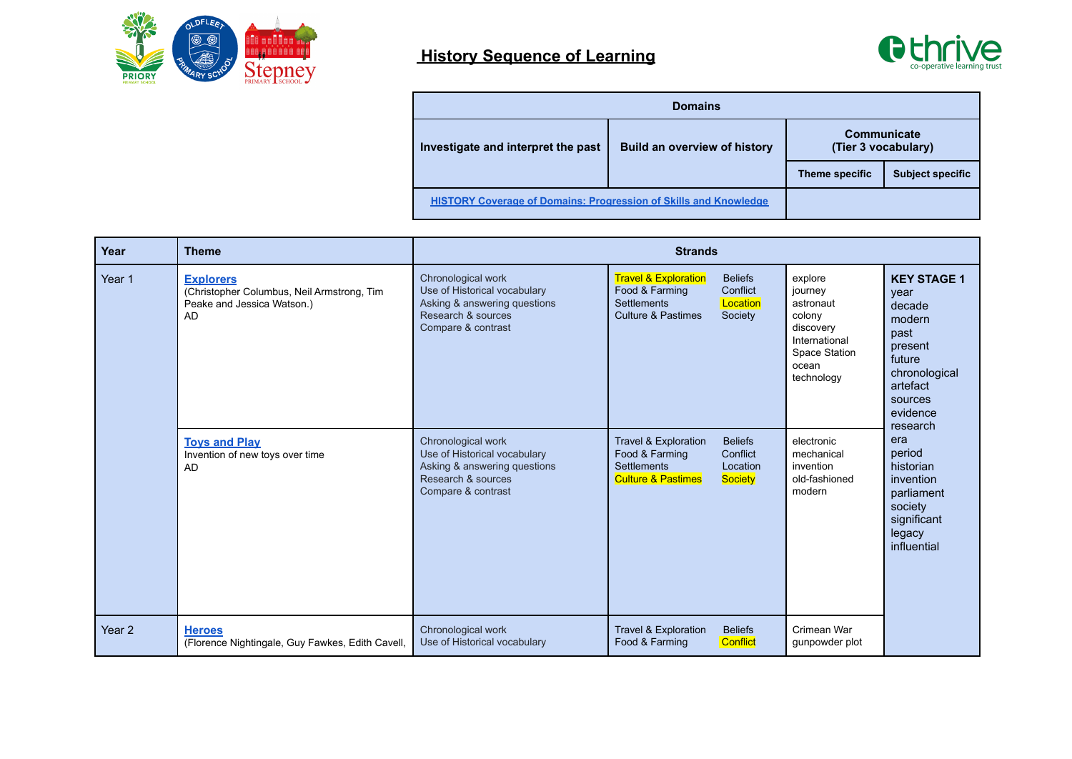



| <b>Domains</b>                                                          |                                     |                                    |                         |  |  |  |
|-------------------------------------------------------------------------|-------------------------------------|------------------------------------|-------------------------|--|--|--|
| Investigate and interpret the past                                      | <b>Build an overview of history</b> | Communicate<br>(Tier 3 vocabulary) |                         |  |  |  |
|                                                                         |                                     | Theme specific                     | <b>Subject specific</b> |  |  |  |
| <b>HISTORY Coverage of Domains: Progression of Skills and Knowledge</b> |                                     |                                    |                         |  |  |  |

| Year              | <b>Theme</b>                                                                                       | <b>Strands</b>                                                                                                                 |                                                                                                          |                                                   |                                                                                                                 |                                                                                                                                 |
|-------------------|----------------------------------------------------------------------------------------------------|--------------------------------------------------------------------------------------------------------------------------------|----------------------------------------------------------------------------------------------------------|---------------------------------------------------|-----------------------------------------------------------------------------------------------------------------|---------------------------------------------------------------------------------------------------------------------------------|
| Year 1            | <b>Explorers</b><br>(Christopher Columbus, Neil Armstrong, Tim<br>Peake and Jessica Watson.)<br>AD | Chronological work<br>Use of Historical vocabulary<br>Asking & answering questions<br>Research & sources<br>Compare & contrast | <b>Travel &amp; Exploration</b><br>Food & Farming<br><b>Settlements</b><br><b>Culture &amp; Pastimes</b> | <b>Beliefs</b><br>Conflict<br>Location<br>Society | explore<br>journey<br>astronaut<br>colony<br>discovery<br>International<br>Space Station<br>ocean<br>technology | <b>KEY STAGE 1</b><br>year<br>decade<br>modern<br>past<br>present<br>future<br>chronological<br>artefact<br>sources<br>evidence |
|                   | <b>Toys and Play</b><br>Invention of new toys over time<br>AD                                      | Chronological work<br>Use of Historical vocabulary<br>Asking & answering questions<br>Research & sources<br>Compare & contrast | Travel & Exploration<br>Food & Farming<br><b>Settlements</b><br><b>Culture &amp; Pastimes</b>            | <b>Beliefs</b><br>Conflict<br>Location<br>Society | electronic<br>mechanical<br>invention<br>old-fashioned<br>modern                                                | research<br>era<br>period<br>historian<br>invention<br>parliament<br>society<br>significant<br>legacy<br>influential            |
| Year <sub>2</sub> | <b>Heroes</b><br>(Florence Nightingale, Guy Fawkes, Edith Cavell,                                  | Chronological work<br>Use of Historical vocabulary                                                                             | Travel & Exploration<br>Food & Farming                                                                   | <b>Beliefs</b><br><b>Conflict</b>                 | Crimean War<br>qunpowder plot                                                                                   |                                                                                                                                 |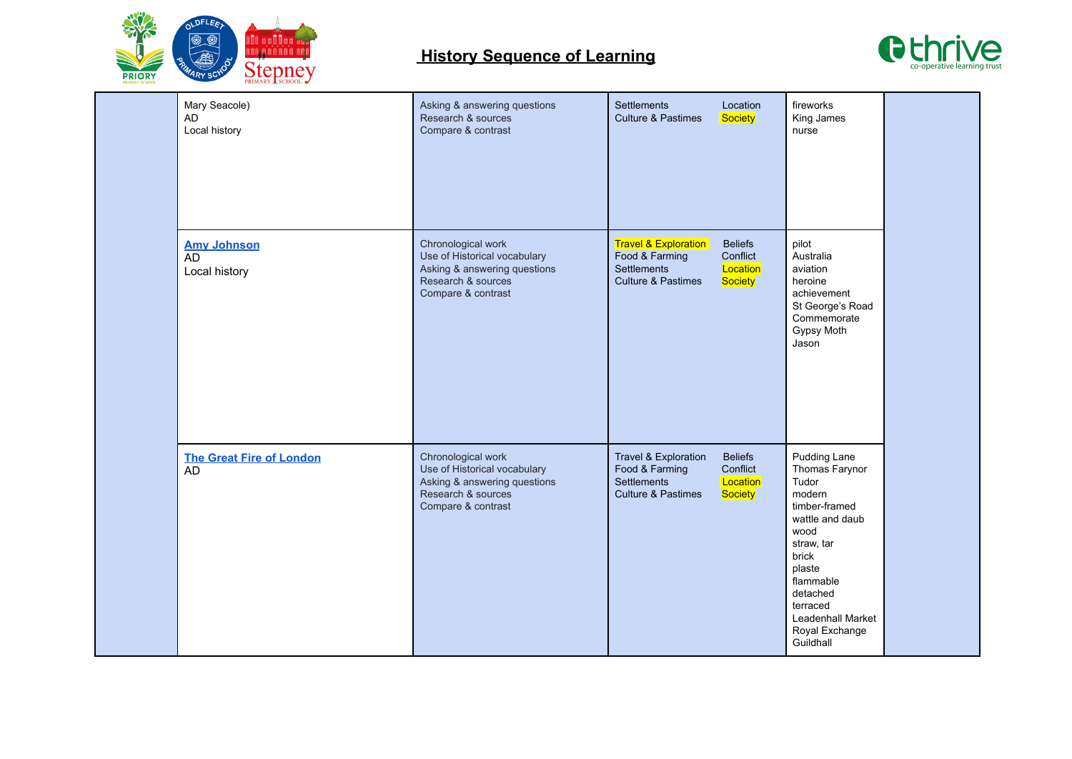



| Mary Seacole)<br><b>AD</b><br>Local history | Asking & answering questions<br>Research & sources<br>Compare & contrast                                                       | Settlements<br>Location<br>Society<br><b>Culture &amp; Pastimes</b>                                                                                    | fireworks<br>King James<br>nurse                                                                                                                                                                                        |  |
|---------------------------------------------|--------------------------------------------------------------------------------------------------------------------------------|--------------------------------------------------------------------------------------------------------------------------------------------------------|-------------------------------------------------------------------------------------------------------------------------------------------------------------------------------------------------------------------------|--|
| <b>Amy Johnson</b><br>AD<br>Local history   | Chronological work<br>Use of Historical vocabulary<br>Asking & answering questions<br>Research & sources<br>Compare & contrast | <b>Travel &amp; Exploration</b><br><b>Beliefs</b><br>Food & Farming<br>Conflict<br>Location<br>Settlements<br>Society<br><b>Culture &amp; Pastimes</b> | pilot<br>Australia<br>aviation<br>heroine<br>achievement<br>St George's Road<br>Commemorate<br>Gypsy Moth<br>Jason                                                                                                      |  |
| <b>The Great Fire of London</b><br>AD       | Chronological work<br>Use of Historical vocabulary<br>Asking & answering questions<br>Research & sources<br>Compare & contrast | Travel & Exploration<br><b>Beliefs</b><br>Food & Farming<br>Conflict<br>Location<br>Settlements<br><b>Culture &amp; Pastimes</b><br>Society            | Pudding Lane<br>Thomas Farynor<br>Tudor<br>modern<br>timber-framed<br>wattle and daub<br>wood<br>straw, tar<br>brick<br>plaste<br>flammable<br>detached<br>terraced<br>Leadenhall Market<br>Royal Exchange<br>Guildhall |  |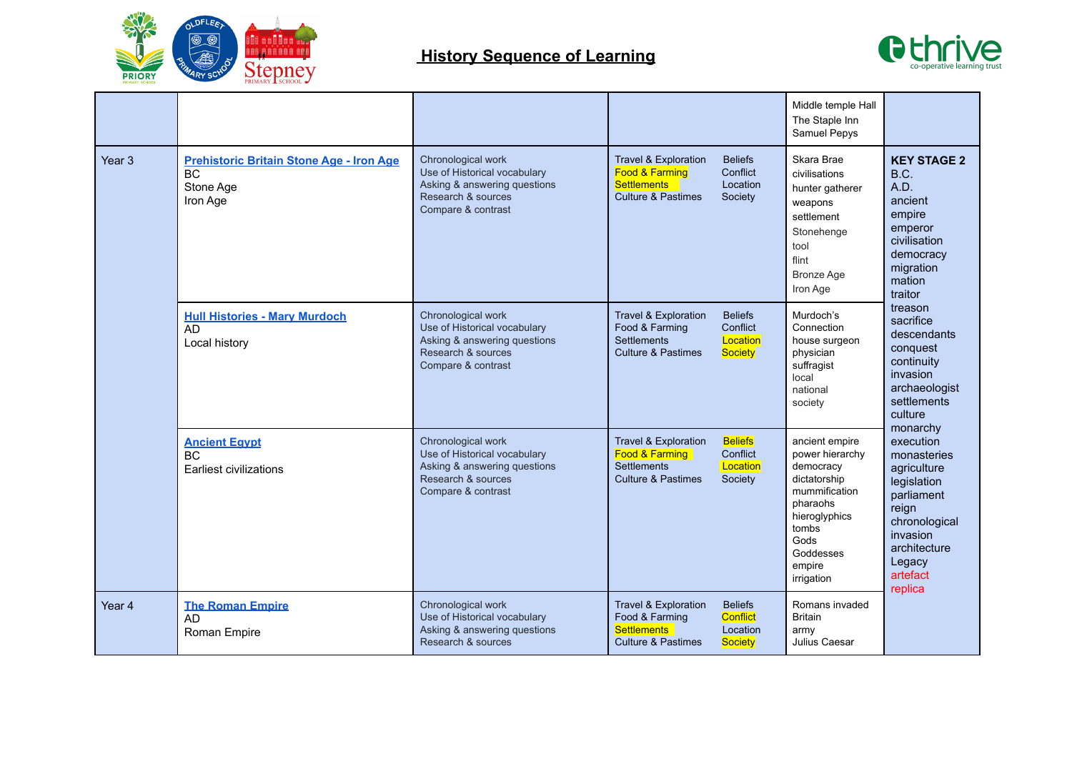



|                   |                                                                                       |                                                                                                                                |                                                                                                          |                                                          | Middle temple Hall<br>The Staple Inn<br>Samuel Pepys                                                                                                               |                                                                                                                                                                                                                                                                                                                                                                                                                                      |
|-------------------|---------------------------------------------------------------------------------------|--------------------------------------------------------------------------------------------------------------------------------|----------------------------------------------------------------------------------------------------------|----------------------------------------------------------|--------------------------------------------------------------------------------------------------------------------------------------------------------------------|--------------------------------------------------------------------------------------------------------------------------------------------------------------------------------------------------------------------------------------------------------------------------------------------------------------------------------------------------------------------------------------------------------------------------------------|
| Year <sub>3</sub> | <b>Prehistoric Britain Stone Age - Iron Age</b><br><b>BC</b><br>Stone Age<br>Iron Age | Chronological work<br>Use of Historical vocabulary<br>Asking & answering questions<br>Research & sources<br>Compare & contrast | <b>Travel &amp; Exploration</b><br>Food & Farming<br><b>Settlements</b><br>Culture & Pastimes            | <b>Beliefs</b><br>Conflict<br>Location<br>Society        | Skara Brae<br>civilisations<br>hunter gatherer<br>weapons<br>settlement<br>Stonehenge<br>tool<br>flint<br><b>Bronze Age</b><br>Iron Age                            | <b>KEY STAGE 2</b><br>B.C.<br>A.D.<br>ancient<br>empire<br>emperor<br>civilisation<br>democracy<br>migration<br>mation<br>traitor<br>treason<br>sacrifice<br>descendants<br>conquest<br>continuity<br>invasion<br>archaeologist<br>settlements<br>culture<br>monarchy<br>execution<br>monasteries<br>agriculture<br>legislation<br>parliament<br>reign<br>chronological<br>invasion<br>architecture<br>Legacy<br>artefact<br>replica |
|                   | <b>Hull Histories - Mary Murdoch</b><br><b>AD</b><br>Local history                    | Chronological work<br>Use of Historical vocabulary<br>Asking & answering questions<br>Research & sources<br>Compare & contrast | <b>Travel &amp; Exploration</b><br>Food & Farming<br><b>Settlements</b><br><b>Culture &amp; Pastimes</b> | <b>Beliefs</b><br>Conflict<br>Location<br><b>Society</b> | Murdoch's<br>Connection<br>house surgeon<br>physician<br>suffragist<br>local<br>national<br>society                                                                |                                                                                                                                                                                                                                                                                                                                                                                                                                      |
|                   | <b>Ancient Egypt</b><br>BC<br>Earliest civilizations                                  | Chronological work<br>Use of Historical vocabulary<br>Asking & answering questions<br>Research & sources<br>Compare & contrast | <b>Travel &amp; Exploration</b><br>Food & Farming<br><b>Settlements</b><br><b>Culture &amp; Pastimes</b> | <b>Beliefs</b><br>Conflict<br>Location<br>Society        | ancient empire<br>power hierarchy<br>democracy<br>dictatorship<br>mummification<br>pharaohs<br>hieroglyphics<br>tombs<br>Gods<br>Goddesses<br>empire<br>irrigation |                                                                                                                                                                                                                                                                                                                                                                                                                                      |
| Year <sub>4</sub> | <b>The Roman Empire</b><br><b>AD</b><br>Roman Empire                                  | Chronological work<br>Use of Historical vocabulary<br>Asking & answering questions<br>Research & sources                       | <b>Travel &amp; Exploration</b><br>Food & Farming<br><b>Settlements</b><br><b>Culture &amp; Pastimes</b> | <b>Beliefs</b><br>Conflict<br>Location<br>Society        | Romans invaded<br><b>Britain</b><br>army<br>Julius Caesar                                                                                                          |                                                                                                                                                                                                                                                                                                                                                                                                                                      |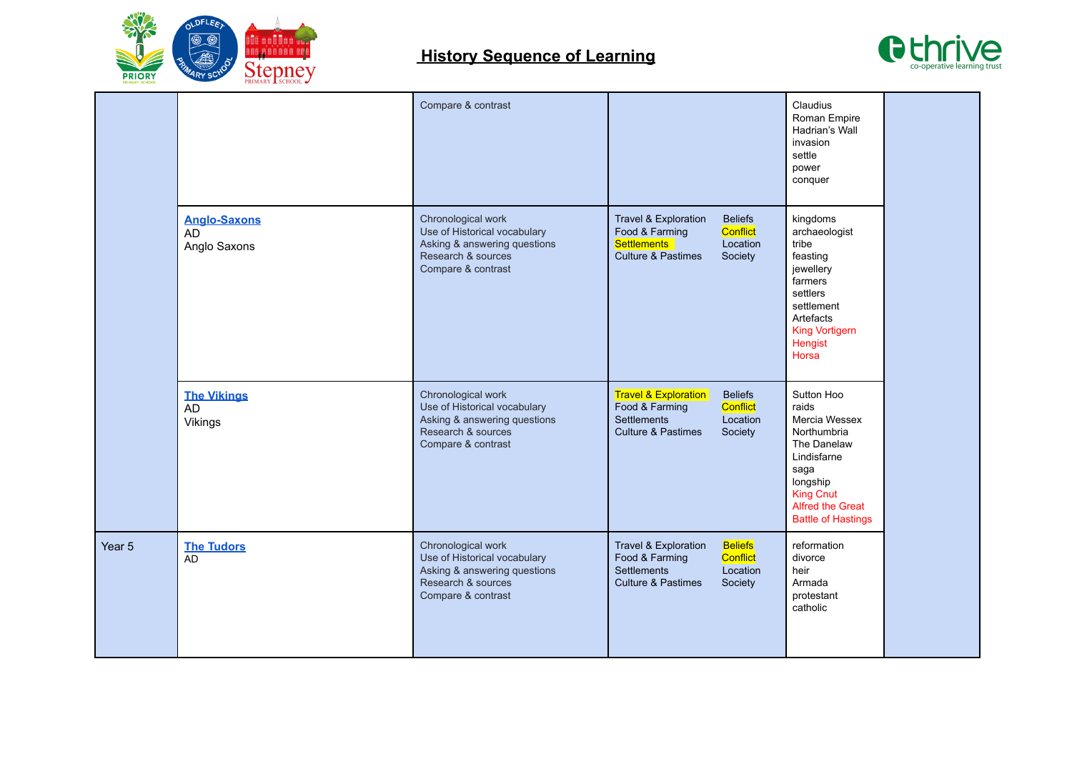



|        |                                           | Compare & contrast                                                                                                             |                                                                                                                                                                      | Claudius<br>Roman Empire<br>Hadrian's Wall<br>invasion<br>settle<br>power<br>conquer                                                                                       |  |
|--------|-------------------------------------------|--------------------------------------------------------------------------------------------------------------------------------|----------------------------------------------------------------------------------------------------------------------------------------------------------------------|----------------------------------------------------------------------------------------------------------------------------------------------------------------------------|--|
|        | <b>Anglo-Saxons</b><br>AD<br>Anglo Saxons | Chronological work<br>Use of Historical vocabulary<br>Asking & answering questions<br>Research & sources<br>Compare & contrast | Travel & Exploration<br><b>Beliefs</b><br>Food & Farming<br><b>Conflict</b><br><b>Settlements</b><br>Location<br>Society<br><b>Culture &amp; Pastimes</b>            | kingdoms<br>archaeologist<br>tribe<br>feasting<br>jewellery<br>farmers<br>settlers<br>settlement<br>Artefacts<br><b>King Vortigern</b><br>Hengist<br>Horsa                 |  |
|        | <b>The Vikings</b><br>AD<br>Vikings       | Chronological work<br>Use of Historical vocabulary<br>Asking & answering questions<br>Research & sources<br>Compare & contrast | <b>Travel &amp; Exploration</b><br><b>Beliefs</b><br>Food & Farming<br><b>Conflict</b><br><b>Settlements</b><br>Location<br><b>Culture &amp; Pastimes</b><br>Society | Sutton Hoo<br>raids<br>Mercia Wessex<br>Northumbria<br>The Danelaw<br>Lindisfarne<br>saga<br>longship<br><b>King Cnut</b><br>Alfred the Great<br><b>Battle of Hastings</b> |  |
| Year 5 | <b>The Tudors</b><br>AD                   | Chronological work<br>Use of Historical vocabulary<br>Asking & answering questions<br>Research & sources<br>Compare & contrast | <b>Beliefs</b><br>Travel & Exploration<br>Conflict<br>Food & Farming<br><b>Settlements</b><br>Location<br>Society<br><b>Culture &amp; Pastimes</b>                   | reformation<br>divorce<br>heir<br>Armada<br>protestant<br>catholic                                                                                                         |  |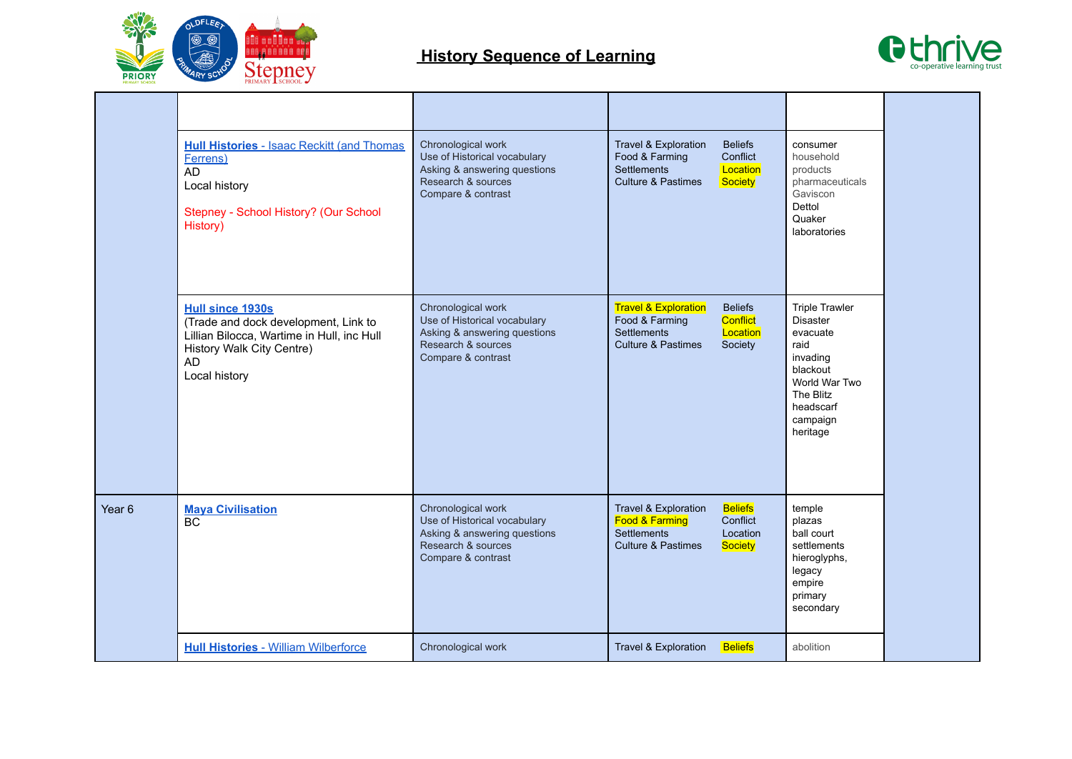



|                   | <b>Hull Histories - Isaac Reckitt (and Thomas)</b><br><b>Ferrens</b> )<br>AD<br>Local history<br>Stepney - School History? (Our School<br>History)                       | Chronological work<br>Use of Historical vocabulary<br>Asking & answering questions<br>Research & sources<br>Compare & contrast | <b>Beliefs</b><br><b>Travel &amp; Exploration</b><br>Food & Farming<br>Conflict<br><b>Settlements</b><br>Location<br><b>Culture &amp; Pastimes</b><br><b>Society</b> | consumer<br>household<br>products<br>pharmaceuticals<br>Gaviscon<br>Dettol<br>Quaker<br>laboratories                                                    |  |
|-------------------|--------------------------------------------------------------------------------------------------------------------------------------------------------------------------|--------------------------------------------------------------------------------------------------------------------------------|----------------------------------------------------------------------------------------------------------------------------------------------------------------------|---------------------------------------------------------------------------------------------------------------------------------------------------------|--|
|                   | <b>Hull since 1930s</b><br>(Trade and dock development, Link to<br>Lillian Bilocca, Wartime in Hull, inc Hull<br>History Walk City Centre)<br><b>AD</b><br>Local history | Chronological work<br>Use of Historical vocabulary<br>Asking & answering questions<br>Research & sources<br>Compare & contrast | <b>Travel &amp; Exploration</b><br><b>Beliefs</b><br>Food & Farming<br><b>Conflict</b><br><b>Settlements</b><br>Location<br>Culture & Pastimes<br>Society            | <b>Triple Trawler</b><br><b>Disaster</b><br>evacuate<br>raid<br>invading<br>blackout<br>World War Two<br>The Blitz<br>headscarf<br>campaign<br>heritage |  |
| Year <sub>6</sub> | <b>Maya Civilisation</b><br>BC                                                                                                                                           | Chronological work<br>Use of Historical vocabulary<br>Asking & answering questions<br>Research & sources<br>Compare & contrast | Travel & Exploration<br><b>Beliefs</b><br>Food & Farming<br>Conflict<br><b>Settlements</b><br>Location<br>Culture & Pastimes<br><b>Society</b>                       | temple<br>plazas<br>ball court<br>settlements<br>hieroglyphs,<br>legacy<br>empire<br>primary<br>secondary                                               |  |
|                   | <b>Hull Histories - William Wilberforce</b>                                                                                                                              | Chronological work                                                                                                             | Travel & Exploration<br><b>Beliefs</b>                                                                                                                               | abolition                                                                                                                                               |  |